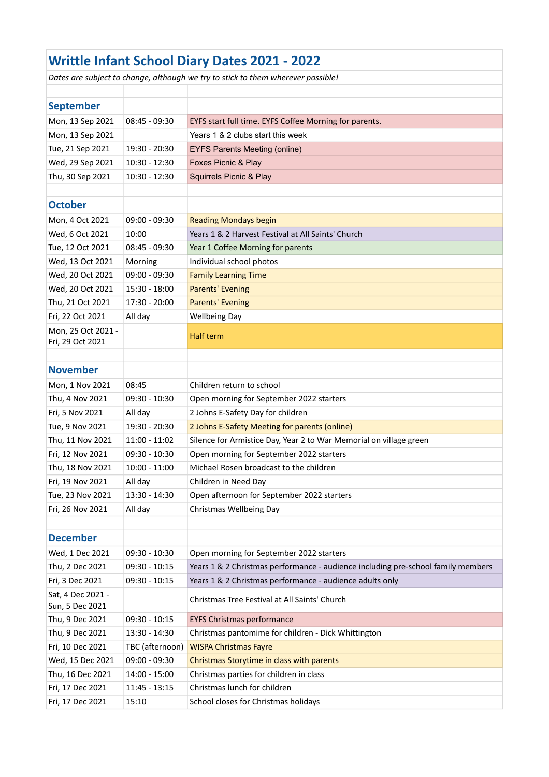| <b>Writtle Infant School Diary Dates 2021 - 2022</b>                             |                 |                                                                                  |  |  |  |
|----------------------------------------------------------------------------------|-----------------|----------------------------------------------------------------------------------|--|--|--|
| Dates are subject to change, although we try to stick to them wherever possible! |                 |                                                                                  |  |  |  |
|                                                                                  |                 |                                                                                  |  |  |  |
| <b>September</b>                                                                 |                 |                                                                                  |  |  |  |
| Mon, 13 Sep 2021                                                                 | $08:45 - 09:30$ | EYFS start full time. EYFS Coffee Morning for parents.                           |  |  |  |
| Mon, 13 Sep 2021                                                                 |                 | Years 1 & 2 clubs start this week                                                |  |  |  |
| Tue, 21 Sep 2021                                                                 | 19:30 - 20:30   | <b>EYFS Parents Meeting (online)</b>                                             |  |  |  |
| Wed, 29 Sep 2021                                                                 | $10:30 - 12:30$ | Foxes Picnic & Play                                                              |  |  |  |
| Thu, 30 Sep 2021                                                                 | $10:30 - 12:30$ | Squirrels Picnic & Play                                                          |  |  |  |
|                                                                                  |                 |                                                                                  |  |  |  |
| <b>October</b>                                                                   |                 |                                                                                  |  |  |  |
| Mon, 4 Oct 2021                                                                  | $09:00 - 09:30$ | <b>Reading Mondays begin</b>                                                     |  |  |  |
| Wed, 6 Oct 2021                                                                  | 10:00           | Years 1 & 2 Harvest Festival at All Saints' Church                               |  |  |  |
| Tue, 12 Oct 2021                                                                 | $08:45 - 09:30$ | Year 1 Coffee Morning for parents                                                |  |  |  |
| Wed, 13 Oct 2021                                                                 | Morning         | Individual school photos                                                         |  |  |  |
| Wed, 20 Oct 2021                                                                 | $09:00 - 09:30$ | <b>Family Learning Time</b>                                                      |  |  |  |
| Wed, 20 Oct 2021                                                                 | 15:30 - 18:00   | <b>Parents' Evening</b>                                                          |  |  |  |
| Thu, 21 Oct 2021                                                                 | 17:30 - 20:00   | <b>Parents' Evening</b>                                                          |  |  |  |
| Fri, 22 Oct 2021                                                                 | All day         | <b>Wellbeing Day</b>                                                             |  |  |  |
| Mon, 25 Oct 2021 -<br>Fri, 29 Oct 2021                                           |                 | Half term                                                                        |  |  |  |
|                                                                                  |                 |                                                                                  |  |  |  |
| <b>November</b>                                                                  |                 |                                                                                  |  |  |  |
| Mon, 1 Nov 2021                                                                  | 08:45           | Children return to school                                                        |  |  |  |
| Thu, 4 Nov 2021                                                                  | 09:30 - 10:30   | Open morning for September 2022 starters                                         |  |  |  |
| Fri, 5 Nov 2021                                                                  | All day         | 2 Johns E-Safety Day for children                                                |  |  |  |
| Tue, 9 Nov 2021                                                                  | 19:30 - 20:30   | 2 Johns E-Safety Meeting for parents (online)                                    |  |  |  |
| Thu, 11 Nov 2021                                                                 | $11:00 - 11:02$ | Silence for Armistice Day, Year 2 to War Memorial on village green               |  |  |  |
| Fri, 12 Nov 2021                                                                 | $09:30 - 10:30$ | Open morning for September 2022 starters                                         |  |  |  |
| Thu, 18 Nov 2021                                                                 | $10:00 - 11:00$ | Michael Rosen broadcast to the children                                          |  |  |  |
| Fri, 19 Nov 2021                                                                 | All day         | Children in Need Day                                                             |  |  |  |
| Tue, 23 Nov 2021                                                                 | 13:30 - 14:30   | Open afternoon for September 2022 starters                                       |  |  |  |
| Fri, 26 Nov 2021                                                                 | All day         | Christmas Wellbeing Day                                                          |  |  |  |
|                                                                                  |                 |                                                                                  |  |  |  |
| <b>December</b>                                                                  |                 |                                                                                  |  |  |  |
| Wed, 1 Dec 2021                                                                  | 09:30 - 10:30   | Open morning for September 2022 starters                                         |  |  |  |
| Thu, 2 Dec 2021                                                                  | $09:30 - 10:15$ | Years 1 & 2 Christmas performance - audience including pre-school family members |  |  |  |
| Fri, 3 Dec 2021                                                                  | $09:30 - 10:15$ | Years 1 & 2 Christmas performance - audience adults only                         |  |  |  |
| Sat, 4 Dec 2021 -<br>Sun, 5 Dec 2021                                             |                 | Christmas Tree Festival at All Saints' Church                                    |  |  |  |
| Thu, 9 Dec 2021                                                                  | $09:30 - 10:15$ | <b>EYFS Christmas performance</b>                                                |  |  |  |
| Thu, 9 Dec 2021                                                                  | 13:30 - 14:30   | Christmas pantomime for children - Dick Whittington                              |  |  |  |
| Fri, 10 Dec 2021                                                                 | TBC (afternoon) | <b>WISPA Christmas Fayre</b>                                                     |  |  |  |
| Wed, 15 Dec 2021                                                                 | 09:00 - 09:30   | Christmas Storytime in class with parents                                        |  |  |  |
| Thu, 16 Dec 2021                                                                 | 14:00 - 15:00   | Christmas parties for children in class                                          |  |  |  |
| Fri, 17 Dec 2021                                                                 | $11:45 - 13:15$ | Christmas lunch for children                                                     |  |  |  |
| Fri, 17 Dec 2021                                                                 | 15:10           | School closes for Christmas holidays                                             |  |  |  |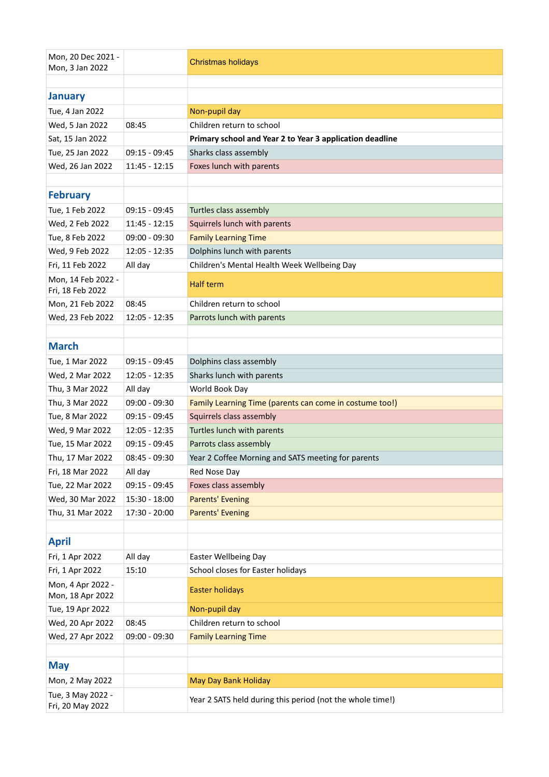| Mon, 20 Dec 2021 -<br>Mon, 3 Jan 2022  |                 | <b>Christmas holidays</b>                                 |
|----------------------------------------|-----------------|-----------------------------------------------------------|
|                                        |                 |                                                           |
| <b>January</b>                         |                 |                                                           |
| Tue, 4 Jan 2022                        |                 | Non-pupil day                                             |
| Wed, 5 Jan 2022                        | 08:45           | Children return to school                                 |
| Sat, 15 Jan 2022                       |                 | Primary school and Year 2 to Year 3 application deadline  |
| Tue, 25 Jan 2022                       | $09:15 - 09:45$ | Sharks class assembly                                     |
| Wed, 26 Jan 2022                       | $11:45 - 12:15$ | Foxes lunch with parents                                  |
|                                        |                 |                                                           |
| <b>February</b>                        |                 |                                                           |
| Tue, 1 Feb 2022                        | $09:15 - 09:45$ | Turtles class assembly                                    |
| Wed, 2 Feb 2022                        | 11:45 - 12:15   | Squirrels lunch with parents                              |
| Tue, 8 Feb 2022                        | $09:00 - 09:30$ | <b>Family Learning Time</b>                               |
| Wed, 9 Feb 2022                        | $12:05 - 12:35$ | Dolphins lunch with parents                               |
| Fri, 11 Feb 2022                       | All day         | Children's Mental Health Week Wellbeing Day               |
| Mon, 14 Feb 2022 -<br>Fri, 18 Feb 2022 |                 | <b>Half term</b>                                          |
| Mon, 21 Feb 2022                       | 08:45           | Children return to school                                 |
| Wed, 23 Feb 2022                       | $12:05 - 12:35$ | Parrots lunch with parents                                |
|                                        |                 |                                                           |
| <b>March</b>                           |                 |                                                           |
| Tue, 1 Mar 2022                        | $09:15 - 09:45$ | Dolphins class assembly                                   |
| Wed, 2 Mar 2022                        | $12:05 - 12:35$ | Sharks lunch with parents                                 |
| Thu, 3 Mar 2022                        | All day         | World Book Day                                            |
| Thu, 3 Mar 2022                        | $09:00 - 09:30$ | Family Learning Time (parents can come in costume too!)   |
| Tue, 8 Mar 2022                        | $09:15 - 09:45$ | Squirrels class assembly                                  |
| Wed, 9 Mar 2022                        | $12:05 - 12:35$ | Turtles lunch with parents                                |
| Tue, 15 Mar 2022                       | $09:15 - 09:45$ | Parrots class assembly                                    |
| Thu, 17 Mar 2022                       | $08:45 - 09:30$ | Year 2 Coffee Morning and SATS meeting for parents        |
| Fri, 18 Mar 2022                       | All day         | Red Nose Day                                              |
| Tue, 22 Mar 2022                       | 09:15 - 09:45   | Foxes class assembly                                      |
| Wed, 30 Mar 2022                       | 15:30 - 18:00   | <b>Parents' Evening</b>                                   |
| Thu, 31 Mar 2022                       | 17:30 - 20:00   | <b>Parents' Evening</b>                                   |
|                                        |                 |                                                           |
| <b>April</b>                           |                 |                                                           |
| Fri, 1 Apr 2022                        | All day         | <b>Easter Wellbeing Day</b>                               |
| Fri, 1 Apr 2022                        | 15:10           | School closes for Easter holidays                         |
| Mon, 4 Apr 2022 -<br>Mon, 18 Apr 2022  |                 | <b>Easter holidays</b>                                    |
| Tue, 19 Apr 2022                       |                 | Non-pupil day                                             |
| Wed, 20 Apr 2022                       | 08:45           | Children return to school                                 |
| Wed, 27 Apr 2022                       | 09:00 - 09:30   | <b>Family Learning Time</b>                               |
|                                        |                 |                                                           |
| <b>May</b>                             |                 |                                                           |
| Mon, 2 May 2022                        |                 | May Day Bank Holiday                                      |
| Tue, 3 May 2022 -                      |                 |                                                           |
| Fri, 20 May 2022                       |                 | Year 2 SATS held during this period (not the whole time!) |